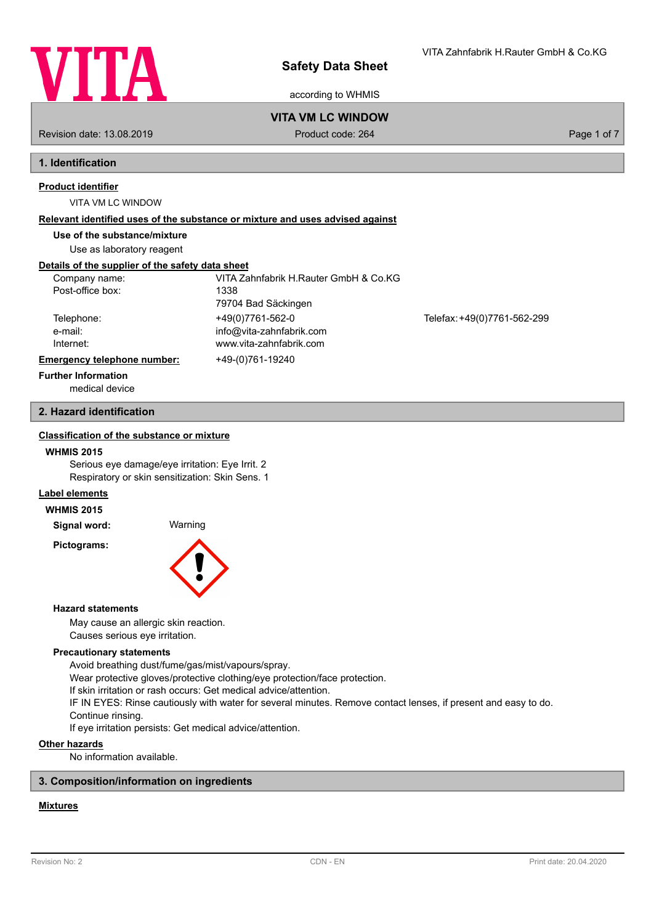

according to WHMIS

Revision date: 13.08.2019 **Product code: 264** Product code: 264 Page 1 of 7

**VITA VM LC WINDOW**

# **1. Identification**

### **Product identifier**

VITA VM LC WINDOW

#### **Relevant identified uses of the substance or mixture and uses advised against**

**Use of the substance/mixture**

Use as laboratory reagent

### **Details of the supplier of the safety data sheet**

| Company name:               | VITA Zahnfabrik H.Rauter GmbH & Co.KG |                             |  |
|-----------------------------|---------------------------------------|-----------------------------|--|
| Post-office box:            | 1338                                  |                             |  |
|                             | 79704 Bad Säckingen                   |                             |  |
| Telephone:                  | +49(0)7761-562-0                      | Telefax: +49(0)7761-562-299 |  |
| e-mail:                     | info@vita-zahnfabrik.com              |                             |  |
| Internet:                   | www.vita-zahnfabrik.com               |                             |  |
| Emergency telephone number: | +49-(0)761-19240                      |                             |  |
| <b>Further Information</b>  |                                       |                             |  |

medical device

### **2. Hazard identification**

### **Classification of the substance or mixture**

#### **WHMIS 2015**

Serious eye damage/eye irritation: Eye Irrit. 2 Respiratory or skin sensitization: Skin Sens. 1

### **Label elements**

**WHMIS 2015**

**Signal word:** Warning **Pictograms:**



#### **Hazard statements**

May cause an allergic skin reaction. Causes serious eye irritation.

#### **Precautionary statements**

Avoid breathing dust/fume/gas/mist/vapours/spray.

Wear protective gloves/protective clothing/eye protection/face protection.

If skin irritation or rash occurs: Get medical advice/attention.

IF IN EYES: Rinse cautiously with water for several minutes. Remove contact lenses, if present and easy to do. Continue rinsing.

If eye irritation persists: Get medical advice/attention.

### **Other hazards**

No information available.

### **3. Composition/information on ingredients**

### **Mixtures**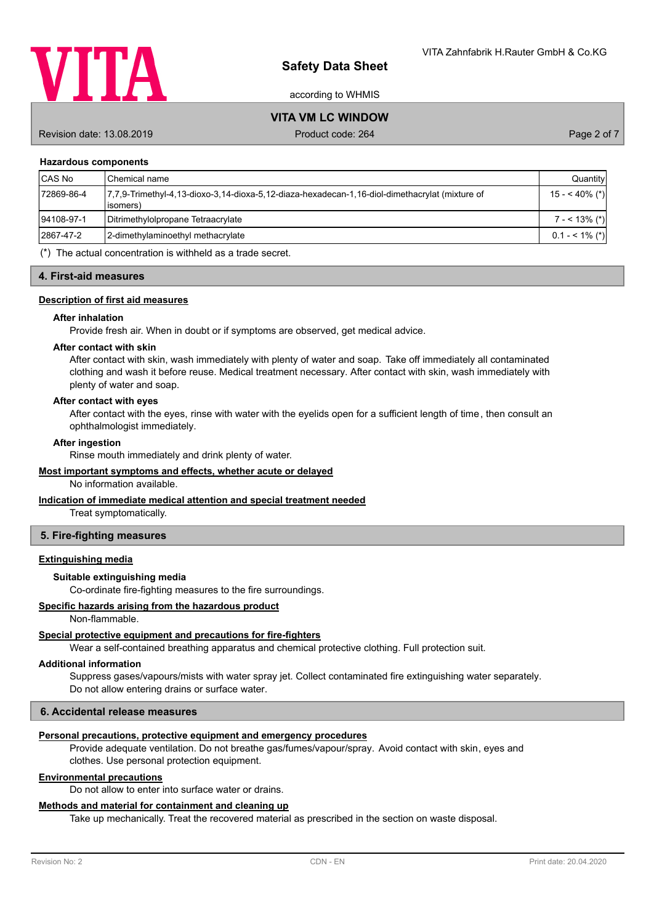

according to WHMIS

# **VITA VM LC WINDOW**

Revision date: 13.08.2019 **Product code: 264** Product code: 264 Page 2 of 7

#### **Hazardous components**

| <b>CAS No</b> | <b>I</b> Chemical name                                                                                      | Quantity          |
|---------------|-------------------------------------------------------------------------------------------------------------|-------------------|
| 72869-86-4    | 7,7,9-Trimethyl-4,13-dioxo-3,14-dioxa-5,12-diaza-hexadecan-1,16-diol-dimethacrylat (mixture of<br>lisomers) | $15 - 40\%$ (*)   |
| 94108-97-1    | Ditrimethylolpropane Tetraacrylate                                                                          | $7 - 13\%$ (*)    |
| 2867-47-2     | 2-dimethylaminoethyl methacrylate                                                                           | $0.1 - 5.1\%$ (*) |
|               |                                                                                                             |                   |

(\*) The actual concentration is withheld as a trade secret.

#### **4. First-aid measures**

#### **Description of first aid measures**

#### **After inhalation**

Provide fresh air. When in doubt or if symptoms are observed, get medical advice.

#### **After contact with skin**

After contact with skin, wash immediately with plenty of water and soap. Take off immediately all contaminated clothing and wash it before reuse. Medical treatment necessary. After contact with skin, wash immediately with plenty of water and soap.

#### **After contact with eyes**

After contact with the eyes, rinse with water with the eyelids open for a sufficient length of time, then consult an ophthalmologist immediately.

#### **After ingestion**

Rinse mouth immediately and drink plenty of water.

#### **Most important symptoms and effects, whether acute or delayed**

No information available.

#### **Indication of immediate medical attention and special treatment needed**

Treat symptomatically.

#### **5. Fire-fighting measures**

#### **Extinguishing media**

### **Suitable extinguishing media**

Co-ordinate fire-fighting measures to the fire surroundings.

#### **Specific hazards arising from the hazardous product**

Non-flammable.

### **Special protective equipment and precautions for fire-fighters**

Wear a self-contained breathing apparatus and chemical protective clothing. Full protection suit.

### **Additional information**

Suppress gases/vapours/mists with water spray jet. Collect contaminated fire extinguishing water separately. Do not allow entering drains or surface water.

### **6. Accidental release measures**

### **Personal precautions, protective equipment and emergency procedures**

Provide adequate ventilation. Do not breathe gas/fumes/vapour/spray. Avoid contact with skin, eyes and clothes. Use personal protection equipment.

## **Environmental precautions**

Do not allow to enter into surface water or drains.

### **Methods and material for containment and cleaning up**

Take up mechanically. Treat the recovered material as prescribed in the section on waste disposal.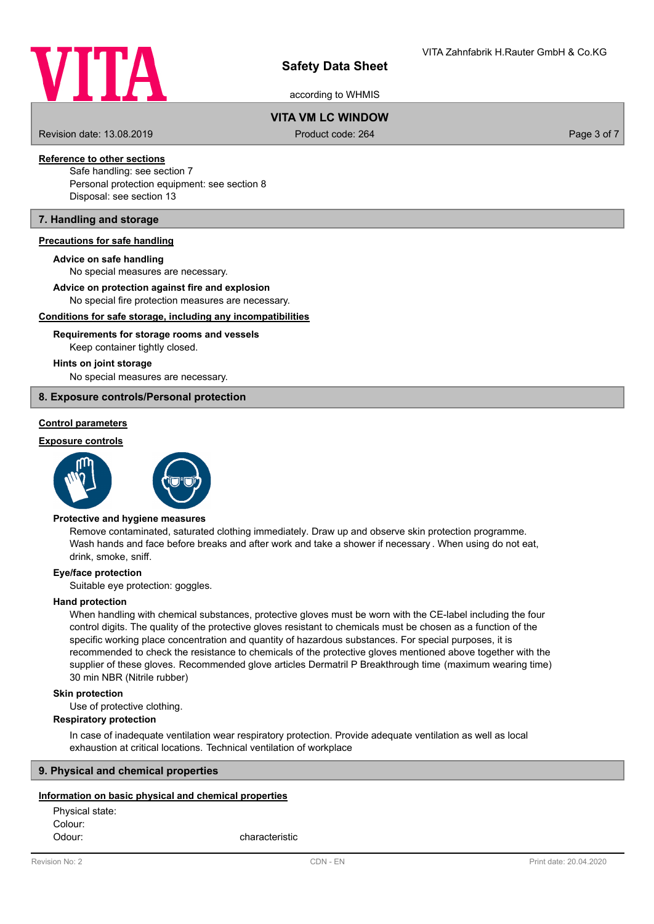

according to WHMIS

# **VITA VM LC WINDOW**

Revision date: 13.08.2019 **Product code: 264** Product code: 264 Page 3 of 7

# **Reference to other sections**

Safe handling: see section 7 Personal protection equipment: see section 8 Disposal: see section 13

### **7. Handling and storage**

#### **Precautions for safe handling**

#### **Advice on safe handling**

No special measures are necessary.

#### **Advice on protection against fire and explosion**

No special fire protection measures are necessary.

#### **Conditions for safe storage, including any incompatibilities**

### Keep container tightly closed. **Requirements for storage rooms and vessels**

#### **Hints on joint storage**

No special measures are necessary.

### **8. Exposure controls/Personal protection**

### **Control parameters**

#### **Exposure controls**





#### **Protective and hygiene measures**

Remove contaminated, saturated clothing immediately. Draw up and observe skin protection programme. Wash hands and face before breaks and after work and take a shower if necessary . When using do not eat, drink, smoke, sniff.

#### **Eye/face protection**

Suitable eye protection: goggles.

#### **Hand protection**

When handling with chemical substances, protective gloves must be worn with the CE-label including the four control digits. The quality of the protective gloves resistant to chemicals must be chosen as a function of the specific working place concentration and quantity of hazardous substances. For special purposes, it is recommended to check the resistance to chemicals of the protective gloves mentioned above together with the supplier of these gloves. Recommended glove articles Dermatril P Breakthrough time (maximum wearing time) 30 min NBR (Nitrile rubber)

#### **Skin protection**

Use of protective clothing.

#### **Respiratory protection**

In case of inadequate ventilation wear respiratory protection. Provide adequate ventilation as well as local exhaustion at critical locations. Technical ventilation of workplace

### **9. Physical and chemical properties**

#### **Information on basic physical and chemical properties**

Physical state: Colour: Odour: characteristic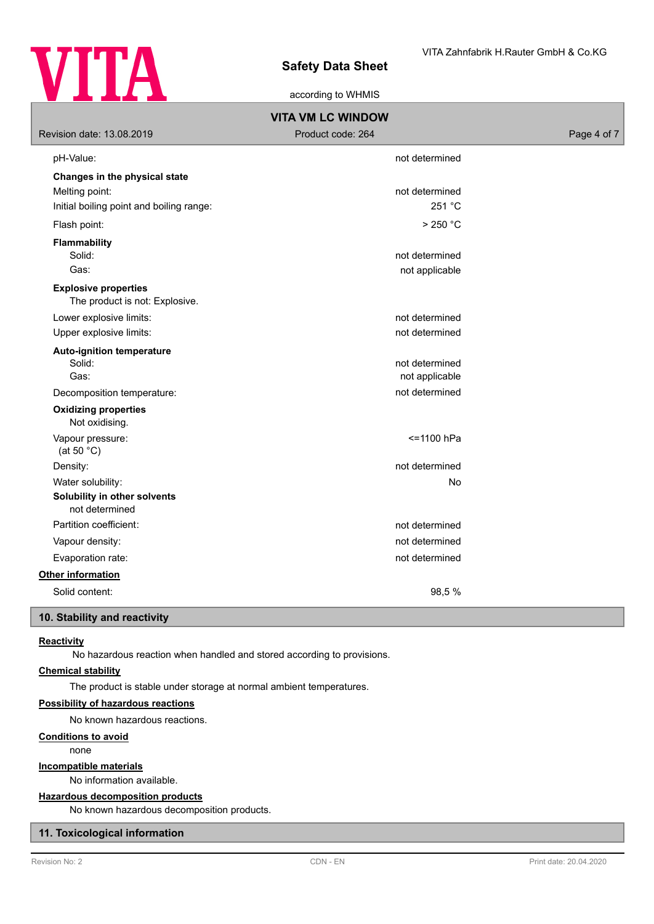

according to WHMIS

| <b>VITA VM LC WINDOW</b>                                      |                   |             |  |
|---------------------------------------------------------------|-------------------|-------------|--|
| Revision date: 13.08.2019                                     | Product code: 264 | Page 4 of 7 |  |
| pH-Value:                                                     | not determined    |             |  |
| Changes in the physical state                                 |                   |             |  |
| Melting point:                                                | not determined    |             |  |
| Initial boiling point and boiling range:                      | 251 °C            |             |  |
| Flash point:                                                  | $>250$ °C         |             |  |
| <b>Flammability</b>                                           |                   |             |  |
| Solid:                                                        | not determined    |             |  |
| Gas:                                                          | not applicable    |             |  |
| <b>Explosive properties</b><br>The product is not: Explosive. |                   |             |  |
| Lower explosive limits:                                       | not determined    |             |  |
| Upper explosive limits:                                       | not determined    |             |  |
| <b>Auto-ignition temperature</b>                              |                   |             |  |
| Solid:                                                        | not determined    |             |  |
| Gas:                                                          | not applicable    |             |  |
| Decomposition temperature:                                    | not determined    |             |  |
| <b>Oxidizing properties</b><br>Not oxidising.                 |                   |             |  |
| Vapour pressure:<br>(at 50 $^{\circ}$ C)                      | <=1100 hPa        |             |  |
| Density:                                                      | not determined    |             |  |
| Water solubility:                                             | <b>No</b>         |             |  |
| Solubility in other solvents<br>not determined                |                   |             |  |
| Partition coefficient:                                        | not determined    |             |  |
| Vapour density:                                               | not determined    |             |  |
| Evaporation rate:                                             | not determined    |             |  |
| Other information                                             |                   |             |  |
| Solid content:                                                | 98,5%             |             |  |
| 10. Stability and reactivity                                  |                   |             |  |

**Reactivity**

No hazardous reaction when handled and stored according to provisions.

### **Chemical stability**

The product is stable under storage at normal ambient temperatures.

### **Possibility of hazardous reactions**

No known hazardous reactions.

### **Conditions to avoid**

none

#### **Incompatible materials**

No information available.

### **Hazardous decomposition products**

No known hazardous decomposition products.

### **11. Toxicological information**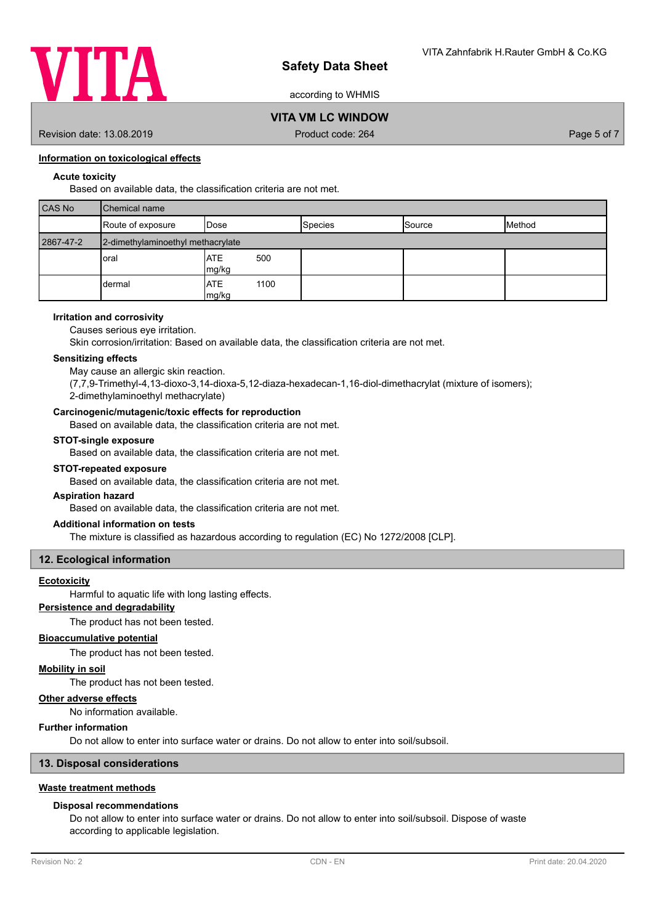

according to WHMIS

# **VITA VM LC WINDOW**

Revision date: 13.08.2019 **Product code: 264** Product code: 264 Page 5 of 7

### **Information on toxicological effects**

### **Acute toxicity**

Based on available data, the classification criteria are not met.

| <b>CAS No</b> | <b>I</b> Chemical name            |                             |                |                 |        |
|---------------|-----------------------------------|-----------------------------|----------------|-----------------|--------|
|               | Route of exposure                 | <b>I</b> Dose               | <b>Species</b> | <b>I</b> Source | Method |
| 2867-47-2     | 2-dimethylaminoethyl methacrylate |                             |                |                 |        |
|               | oral                              | 500<br><b>ATE</b><br>mg/kg  |                |                 |        |
|               | dermal                            | <b>ATE</b><br>1100<br>mg/kg |                |                 |        |

#### **Irritation and corrosivity**

Causes serious eye irritation.

Skin corrosion/irritation: Based on available data, the classification criteria are not met.

#### **Sensitizing effects**

May cause an allergic skin reaction.

(7,7,9-Trimethyl-4,13-dioxo-3,14-dioxa-5,12-diaza-hexadecan-1,16-diol-dimethacrylat (mixture of isomers); 2-dimethylaminoethyl methacrylate)

#### **Carcinogenic/mutagenic/toxic effects for reproduction**

Based on available data, the classification criteria are not met.

#### **STOT-single exposure**

Based on available data, the classification criteria are not met.

#### **STOT-repeated exposure**

Based on available data, the classification criteria are not met.

### **Aspiration hazard**

Based on available data, the classification criteria are not met.

#### **Additional information on tests**

The mixture is classified as hazardous according to regulation (EC) No 1272/2008 [CLP].

### **12. Ecological information**

### **Ecotoxicity**

Harmful to aquatic life with long lasting effects.

### **Persistence and degradability**

The product has not been tested.

#### **Bioaccumulative potential**

The product has not been tested.

#### **Mobility in soil**

The product has not been tested.

### **Other adverse effects**

**Further information**

No information available.

### Do not allow to enter into surface water or drains. Do not allow to enter into soil/subsoil.

### **13. Disposal considerations**

### **Waste treatment methods**

#### **Disposal recommendations**

Do not allow to enter into surface water or drains. Do not allow to enter into soil/subsoil. Dispose of waste according to applicable legislation.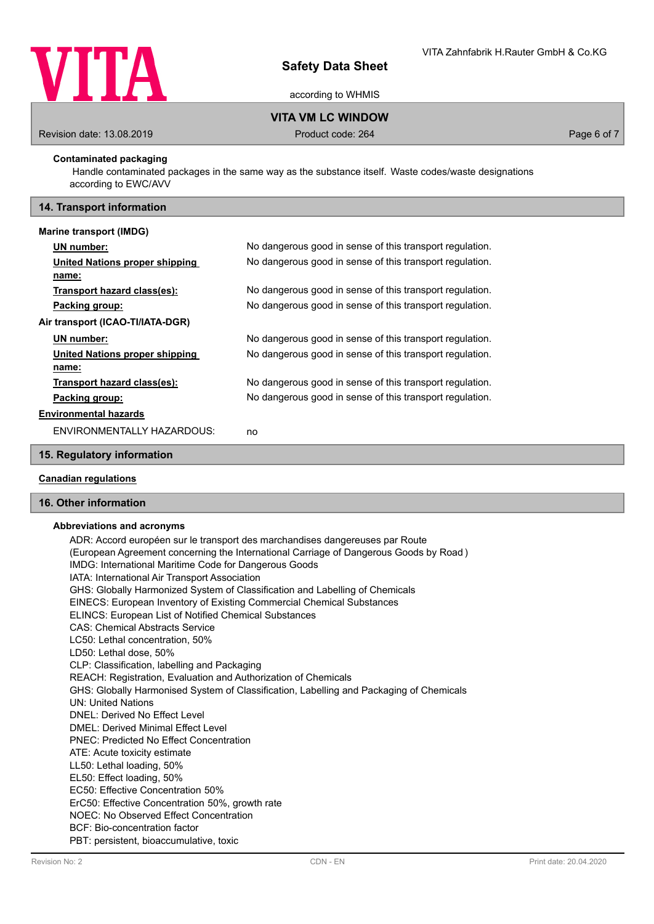

according to WHMIS

**VITA VM LC WINDOW**

Revision date: 13.08.2019 **Product code: 264** Product code: 264 Page 6 of 7

### **Contaminated packaging**

 Handle contaminated packages in the same way as the substance itself. Waste codes/waste designations according to EWC/AVV

### **14. Transport information**

#### **Marine transport (IMDG)**

| UN number:                       | No dangerous good in sense of this transport regulation. |
|----------------------------------|----------------------------------------------------------|
| United Nations proper shipping   | No dangerous good in sense of this transport regulation. |
| name:                            |                                                          |
| Transport hazard class(es):      | No dangerous good in sense of this transport regulation. |
| Packing group:                   | No dangerous good in sense of this transport regulation. |
| Air transport (ICAO-TI/IATA-DGR) |                                                          |
| UN number:                       | No dangerous good in sense of this transport regulation. |
| United Nations proper shipping   | No dangerous good in sense of this transport regulation. |
| name:                            |                                                          |
| Transport hazard class(es):      | No dangerous good in sense of this transport regulation. |
| Packing group:                   | No dangerous good in sense of this transport regulation. |
| <b>Environmental hazards</b>     |                                                          |
| ENVIRONMENTALLY HAZARDOUS:       | no                                                       |

### **15. Regulatory information**

### **Canadian regulations**

### **16. Other information**

#### **Abbreviations and acronyms**

ADR: Accord européen sur le transport des marchandises dangereuses par Route (European Agreement concerning the International Carriage of Dangerous Goods by Road ) IMDG: International Maritime Code for Dangerous Goods IATA: International Air Transport Association GHS: Globally Harmonized System of Classification and Labelling of Chemicals EINECS: European Inventory of Existing Commercial Chemical Substances ELINCS: European List of Notified Chemical Substances CAS: Chemical Abstracts Service LC50: Lethal concentration, 50% LD50: Lethal dose, 50% CLP: Classification, labelling and Packaging REACH: Registration, Evaluation and Authorization of Chemicals GHS: Globally Harmonised System of Classification, Labelling and Packaging of Chemicals UN: United Nations DNEL: Derived No Effect Level DMEL: Derived Minimal Effect Level PNEC: Predicted No Effect Concentration ATE: Acute toxicity estimate LL50: Lethal loading, 50% EL50: Effect loading, 50% EC50: Effective Concentration 50% ErC50: Effective Concentration 50%, growth rate NOEC: No Observed Effect Concentration BCF: Bio-concentration factor PBT: persistent, bioaccumulative, toxic